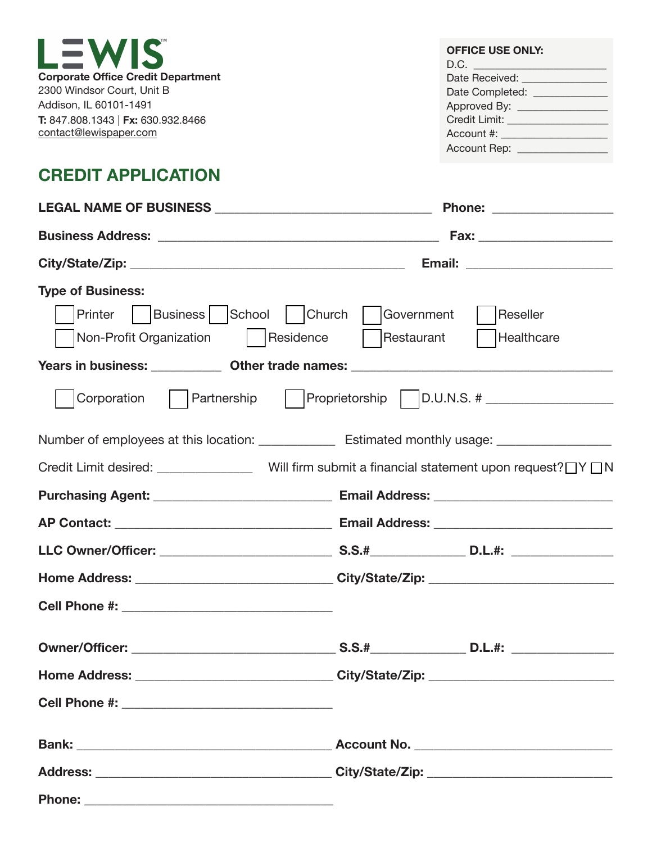| LEWIS                                     | <b>OFFICE USE ONLY:</b><br>D.C. |
|-------------------------------------------|---------------------------------|
| <b>Corporate Office Credit Department</b> | Date Received:                  |
| 2300 Windsor Court, Unit B                | Date Completed: ____            |
| Addison, IL 60101-1491                    | Approved By: _____              |
| T: 847.808.1343   Fx: 630.932.8466        | Credit Limit:                   |
| contact@lewispaper.com                    | Account #:                      |
|                                           | Account Rep:                    |

## **CREDIT APPLICATION**

|                                                                                                                                                | Phone: _________________                                                   |
|------------------------------------------------------------------------------------------------------------------------------------------------|----------------------------------------------------------------------------|
|                                                                                                                                                |                                                                            |
|                                                                                                                                                |                                                                            |
| <b>Type of Business:</b><br>Printer   Business   School   Church   Government<br>Non-Profit Organization   Residence   Restaurant   Healthcare | Reseller                                                                   |
| Years in business: _____________ Other trade names: _____________________________                                                              |                                                                            |
|                                                                                                                                                | Corporation   Partnership   Proprietorship   D.U.N.S. # __________________ |
| Number of employees at this location: _______________ Estimated monthly usage: ____________________                                            |                                                                            |
| Credit Limit desired: _________________Will firm submit a financial statement upon request?□Y□N                                                |                                                                            |
|                                                                                                                                                |                                                                            |
|                                                                                                                                                |                                                                            |
|                                                                                                                                                |                                                                            |
|                                                                                                                                                |                                                                            |
|                                                                                                                                                |                                                                            |
|                                                                                                                                                |                                                                            |
| <b>Home Address:</b><br><u> 1980 - Johann John Stone, mars et al. (b. 1980)</u>                                                                | City/State/Zip:                                                            |
|                                                                                                                                                |                                                                            |
|                                                                                                                                                |                                                                            |
|                                                                                                                                                |                                                                            |
|                                                                                                                                                |                                                                            |